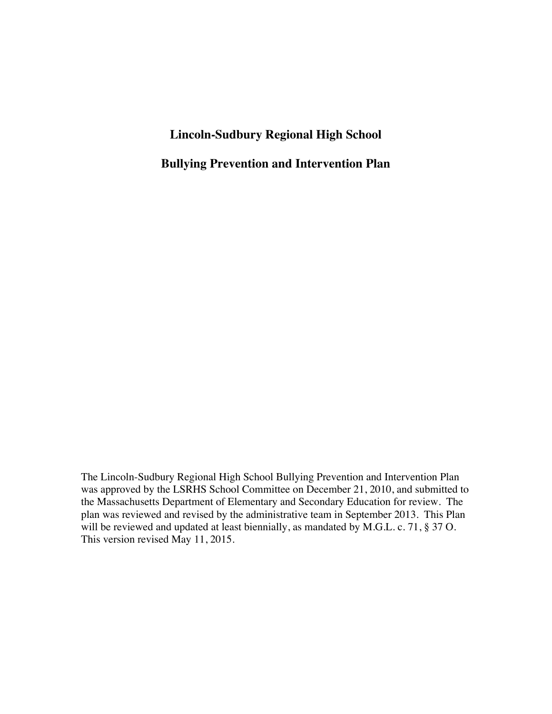# **Lincoln-Sudbury Regional High School**

**Bullying Prevention and Intervention Plan**

The Lincoln-Sudbury Regional High School Bullying Prevention and Intervention Plan was approved by the LSRHS School Committee on December 21, 2010, and submitted to the Massachusetts Department of Elementary and Secondary Education for review. The plan was reviewed and revised by the administrative team in September 2013. This Plan will be reviewed and updated at least biennially, as mandated by M.G.L. c. 71, § 37 O. This version revised May 11, 2015.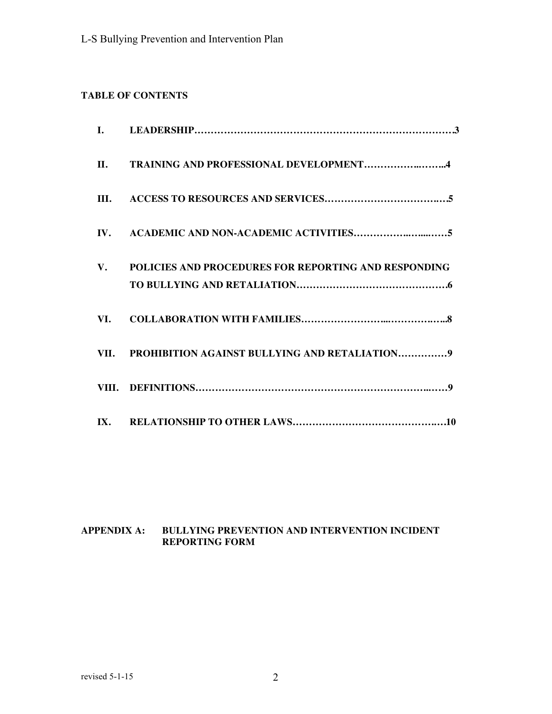# **TABLE OF CONTENTS**

| П.  | TRAINING AND PROFESSIONAL DEVELOPMENT4                  |
|-----|---------------------------------------------------------|
|     |                                                         |
|     |                                                         |
|     | V. POLICIES AND PROCEDURES FOR REPORTING AND RESPONDING |
| VI. |                                                         |
|     | VII. PROHIBITION AGAINST BULLYING AND RETALIATION9      |
|     |                                                         |
|     |                                                         |

# **APPENDIX A: BULLYING PREVENTION AND INTERVENTION INCIDENT REPORTING FORM**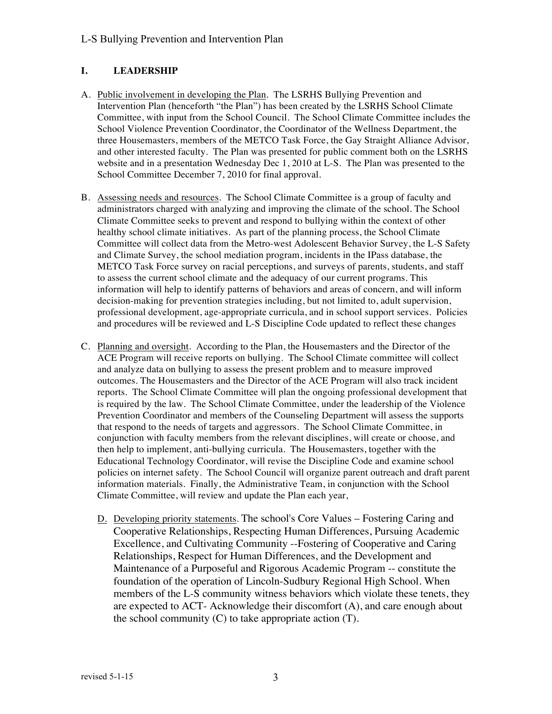### L-S Bullying Prevention and Intervention Plan

#### **I. LEADERSHIP**

- A. Public involvement in developing the Plan. The LSRHS Bullying Prevention and Intervention Plan (henceforth "the Plan") has been created by the LSRHS School Climate Committee, with input from the School Council. The School Climate Committee includes the School Violence Prevention Coordinator, the Coordinator of the Wellness Department, the three Housemasters, members of the METCO Task Force, the Gay Straight Alliance Advisor, and other interested faculty. The Plan was presented for public comment both on the LSRHS website and in a presentation Wednesday Dec 1, 2010 at L-S. The Plan was presented to the School Committee December 7, 2010 for final approval.
- B. Assessing needs and resources. The School Climate Committee is a group of faculty and administrators charged with analyzing and improving the climate of the school. The School Climate Committee seeks to prevent and respond to bullying within the context of other healthy school climate initiatives. As part of the planning process, the School Climate Committee will collect data from the Metro-west Adolescent Behavior Survey, the L-S Safety and Climate Survey, the school mediation program, incidents in the IPass database, the METCO Task Force survey on racial perceptions, and surveys of parents, students, and staff to assess the current school climate and the adequacy of our current programs. This information will help to identify patterns of behaviors and areas of concern, and will inform decision-making for prevention strategies including, but not limited to, adult supervision, professional development, age-appropriate curricula, and in school support services. Policies and procedures will be reviewed and L-S Discipline Code updated to reflect these changes
- C. Planning and oversight. According to the Plan, the Housemasters and the Director of the ACE Program will receive reports on bullying. The School Climate committee will collect and analyze data on bullying to assess the present problem and to measure improved outcomes. The Housemasters and the Director of the ACE Program will also track incident reports. The School Climate Committee will plan the ongoing professional development that is required by the law. The School Climate Committee, under the leadership of the Violence Prevention Coordinator and members of the Counseling Department will assess the supports that respond to the needs of targets and aggressors. The School Climate Committee, in conjunction with faculty members from the relevant disciplines, will create or choose, and then help to implement, anti-bullying curricula. The Housemasters, together with the Educational Technology Coordinator, will revise the Discipline Code and examine school policies on internet safety. The School Council will organize parent outreach and draft parent information materials. Finally, the Administrative Team, in conjunction with the School Climate Committee, will review and update the Plan each year,
	- D. Developing priority statements. The school's Core Values Fostering Caring and Cooperative Relationships, Respecting Human Differences, Pursuing Academic Excellence, and Cultivating Community --Fostering of Cooperative and Caring Relationships, Respect for Human Differences, and the Development and Maintenance of a Purposeful and Rigorous Academic Program -- constitute the foundation of the operation of Lincoln-Sudbury Regional High School. When members of the L-S community witness behaviors which violate these tenets, they are expected to ACT- Acknowledge their discomfort (A), and care enough about the school community  $(C)$  to take appropriate action  $(T)$ .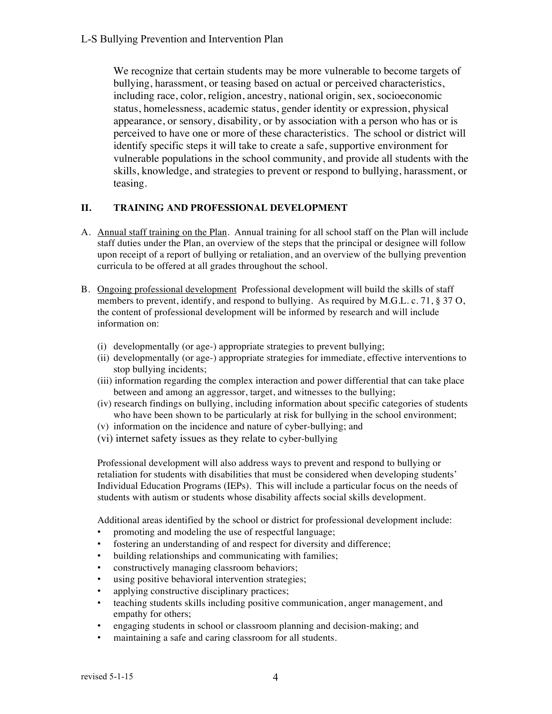We recognize that certain students may be more vulnerable to become targets of bullying, harassment, or teasing based on actual or perceived characteristics, including race, color, religion, ancestry, national origin, sex, socioeconomic status, homelessness, academic status, gender identity or expression, physical appearance, or sensory, disability, or by association with a person who has or is perceived to have one or more of these characteristics. The school or district will identify specific steps it will take to create a safe, supportive environment for vulnerable populations in the school community, and provide all students with the skills, knowledge, and strategies to prevent or respond to bullying, harassment, or teasing.

### **II. TRAINING AND PROFESSIONAL DEVELOPMENT**

- A. Annual staff training on the Plan. Annual training for all school staff on the Plan will include staff duties under the Plan, an overview of the steps that the principal or designee will follow upon receipt of a report of bullying or retaliation, and an overview of the bullying prevention curricula to be offered at all grades throughout the school.
- B. Ongoing professional development Professional development will build the skills of staff members to prevent, identify, and respond to bullying. As required by  $M.G.L.c.$  71,  $\S 37 O$ , the content of professional development will be informed by research and will include information on:
	- (i) developmentally (or age-) appropriate strategies to prevent bullying;
	- (ii) developmentally (or age-) appropriate strategies for immediate, effective interventions to stop bullying incidents;
	- (iii) information regarding the complex interaction and power differential that can take place between and among an aggressor, target, and witnesses to the bullying;
	- (iv) research findings on bullying, including information about specific categories of students who have been shown to be particularly at risk for bullying in the school environment;
	- (v) information on the incidence and nature of cyber-bullying; and
	- (vi) internet safety issues as they relate to cyber-bullying

Professional development will also address ways to prevent and respond to bullying or retaliation for students with disabilities that must be considered when developing students' Individual Education Programs (IEPs). This will include a particular focus on the needs of students with autism or students whose disability affects social skills development.

Additional areas identified by the school or district for professional development include:

- promoting and modeling the use of respectful language;
- fostering an understanding of and respect for diversity and difference;
- building relationships and communicating with families;
- constructively managing classroom behaviors;
- using positive behavioral intervention strategies;
- applying constructive disciplinary practices;
- teaching students skills including positive communication, anger management, and empathy for others;
- engaging students in school or classroom planning and decision-making; and
- maintaining a safe and caring classroom for all students.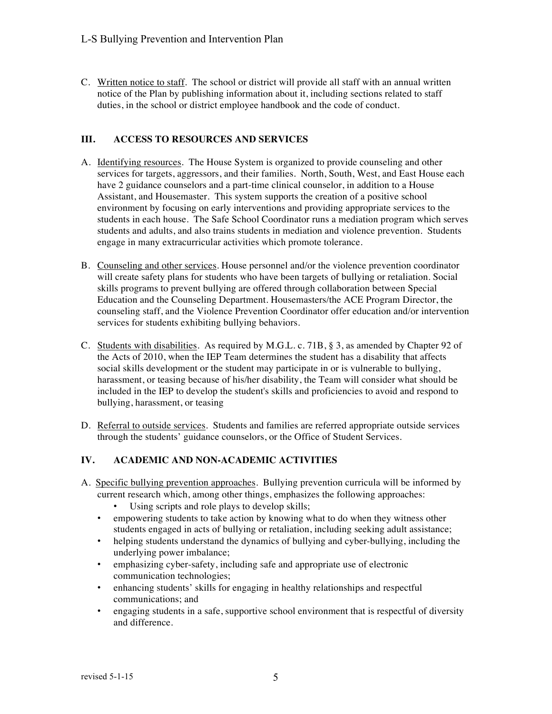C. Written notice to staff. The school or district will provide all staff with an annual written notice of the Plan by publishing information about it, including sections related to staff duties, in the school or district employee handbook and the code of conduct.

### **III. ACCESS TO RESOURCES AND SERVICES**

- A. Identifying resources. The House System is organized to provide counseling and other services for targets, aggressors, and their families. North, South, West, and East House each have 2 guidance counselors and a part-time clinical counselor, in addition to a House Assistant, and Housemaster. This system supports the creation of a positive school environment by focusing on early interventions and providing appropriate services to the students in each house. The Safe School Coordinator runs a mediation program which serves students and adults, and also trains students in mediation and violence prevention. Students engage in many extracurricular activities which promote tolerance.
- B. Counseling and other services. House personnel and/or the violence prevention coordinator will create safety plans for students who have been targets of bullying or retaliation. Social skills programs to prevent bullying are offered through collaboration between Special Education and the Counseling Department. Housemasters/the ACE Program Director, the counseling staff, and the Violence Prevention Coordinator offer education and/or intervention services for students exhibiting bullying behaviors.
- C. Students with disabilities. As required by M.G.L. c. 71B, § 3, as amended by Chapter 92 of the Acts of 2010, when the IEP Team determines the student has a disability that affects social skills development or the student may participate in or is vulnerable to bullying, harassment, or teasing because of his/her disability, the Team will consider what should be included in the IEP to develop the student's skills and proficiencies to avoid and respond to bullying, harassment, or teasing
- D. Referral to outside services. Students and families are referred appropriate outside services through the students' guidance counselors, or the Office of Student Services.

#### **IV. ACADEMIC AND NON-ACADEMIC ACTIVITIES**

- A. Specific bullying prevention approaches. Bullying prevention curricula will be informed by current research which, among other things, emphasizes the following approaches:
	- Using scripts and role plays to develop skills;
	- empowering students to take action by knowing what to do when they witness other students engaged in acts of bullying or retaliation, including seeking adult assistance;
	- helping students understand the dynamics of bullying and cyber-bullying, including the underlying power imbalance;
	- emphasizing cyber-safety, including safe and appropriate use of electronic communication technologies;
	- enhancing students' skills for engaging in healthy relationships and respectful communications; and
	- engaging students in a safe, supportive school environment that is respectful of diversity and difference.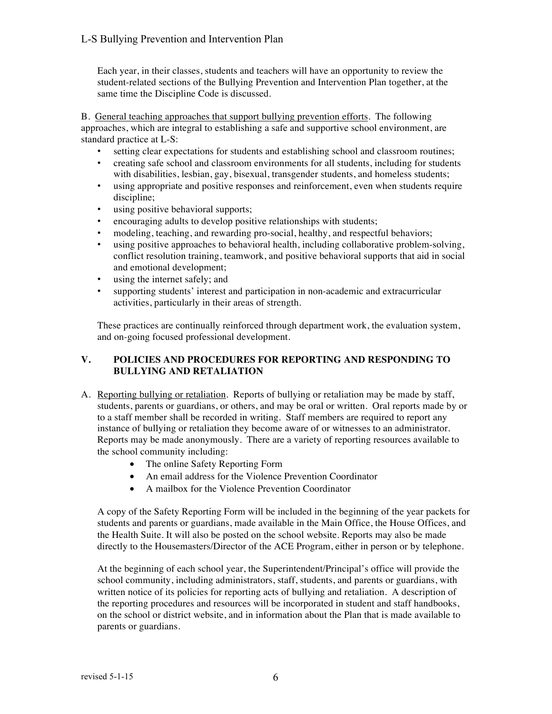Each year, in their classes, students and teachers will have an opportunity to review the student-related sections of the Bullying Prevention and Intervention Plan together, at the same time the Discipline Code is discussed.

B. General teaching approaches that support bullying prevention efforts. The following approaches, which are integral to establishing a safe and supportive school environment, are standard practice at L-S:

- setting clear expectations for students and establishing school and classroom routines;
- creating safe school and classroom environments for all students, including for students with disabilities, lesbian, gay, bisexual, transgender students, and homeless students;
- using appropriate and positive responses and reinforcement, even when students require discipline;
- using positive behavioral supports;
- encouraging adults to develop positive relationships with students;
- modeling, teaching, and rewarding pro-social, healthy, and respectful behaviors;
- using positive approaches to behavioral health, including collaborative problem-solving, conflict resolution training, teamwork, and positive behavioral supports that aid in social and emotional development;
- using the internet safely; and
- supporting students' interest and participation in non-academic and extracurricular activities, particularly in their areas of strength.

These practices are continually reinforced through department work, the evaluation system, and on-going focused professional development.

#### **V. POLICIES AND PROCEDURES FOR REPORTING AND RESPONDING TO BULLYING AND RETALIATION**

- A. Reporting bullying or retaliation. Reports of bullying or retaliation may be made by staff, students, parents or guardians, or others, and may be oral or written. Oral reports made by or to a staff member shall be recorded in writing. Staff members are required to report any instance of bullying or retaliation they become aware of or witnesses to an administrator. Reports may be made anonymously. There are a variety of reporting resources available to the school community including:
	- The online Safety Reporting Form
	- An email address for the Violence Prevention Coordinator
	- A mailbox for the Violence Prevention Coordinator

A copy of the Safety Reporting Form will be included in the beginning of the year packets for students and parents or guardians, made available in the Main Office, the House Offices, and the Health Suite. It will also be posted on the school website. Reports may also be made directly to the Housemasters/Director of the ACE Program, either in person or by telephone.

At the beginning of each school year, the Superintendent/Principal's office will provide the school community, including administrators, staff, students, and parents or guardians, with written notice of its policies for reporting acts of bullying and retaliation. A description of the reporting procedures and resources will be incorporated in student and staff handbooks, on the school or district website, and in information about the Plan that is made available to parents or guardians.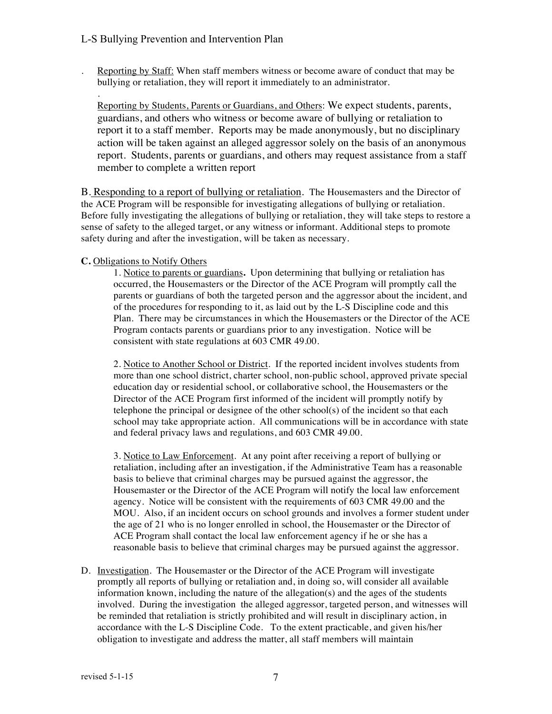. Reporting by Staff: When staff members witness or become aware of conduct that may be bullying or retaliation, they will report it immediately to an administrator.

Reporting by Students, Parents or Guardians, and Others: We expect students, parents, guardians, and others who witness or become aware of bullying or retaliation to report it to a staff member. Reports may be made anonymously, but no disciplinary action will be taken against an alleged aggressor solely on the basis of an anonymous report. Students, parents or guardians, and others may request assistance from a staff member to complete a written report

B. Responding to a report of bullying or retaliation. The Housemasters and the Director of the ACE Program will be responsible for investigating allegations of bullying or retaliation. Before fully investigating the allegations of bullying or retaliation, they will take steps to restore a sense of safety to the alleged target, or any witness or informant. Additional steps to promote safety during and after the investigation, will be taken as necessary.

#### **C.** Obligations to Notify Others

.

1. Notice to parents or guardians**.** Upon determining that bullying or retaliation has occurred, the Housemasters or the Director of the ACE Program will promptly call the parents or guardians of both the targeted person and the aggressor about the incident, and of the procedures for responding to it, as laid out by the L-S Discipline code and this Plan. There may be circumstances in which the Housemasters or the Director of the ACE Program contacts parents or guardians prior to any investigation. Notice will be consistent with state regulations at 603 CMR 49.00.

2. Notice to Another School or District. If the reported incident involves students from more than one school district, charter school, non-public school, approved private special education day or residential school, or collaborative school, the Housemasters or the Director of the ACE Program first informed of the incident will promptly notify by telephone the principal or designee of the other school(s) of the incident so that each school may take appropriate action. All communications will be in accordance with state and federal privacy laws and regulations, and 603 CMR 49.00.

3. Notice to Law Enforcement.At any point after receiving a report of bullying or retaliation, including after an investigation, if the Administrative Team has a reasonable basis to believe that criminal charges may be pursued against the aggressor, the Housemaster or the Director of the ACE Program will notify the local law enforcement agency. Notice will be consistent with the requirements of 603 CMR 49.00 and the MOU. Also, if an incident occurs on school grounds and involves a former student under the age of 21 who is no longer enrolled in school, the Housemaster or the Director of ACE Program shall contact the local law enforcement agency if he or she has a reasonable basis to believe that criminal charges may be pursued against the aggressor.

D. Investigation. The Housemaster or the Director of the ACE Program will investigate promptly all reports of bullying or retaliation and, in doing so, will consider all available information known, including the nature of the allegation $(s)$  and the ages of the students involved. During the investigation the alleged aggressor, targeted person, and witnesses will be reminded that retaliation is strictly prohibited and will result in disciplinary action, in accordance with the L-S Discipline Code. To the extent practicable, and given his/her obligation to investigate and address the matter, all staff members will maintain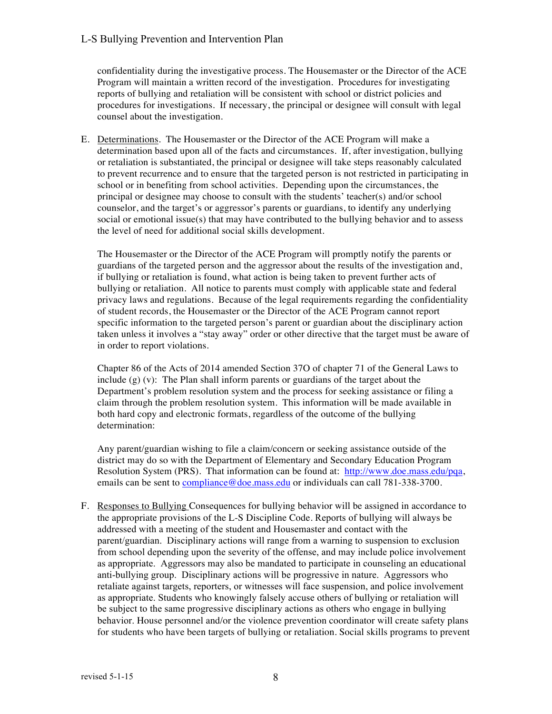#### L-S Bullying Prevention and Intervention Plan

confidentiality during the investigative process. The Housemaster or the Director of the ACE Program will maintain a written record of the investigation. Procedures for investigating reports of bullying and retaliation will be consistent with school or district policies and procedures for investigations. If necessary, the principal or designee will consult with legal counsel about the investigation.

E. Determinations. The Housemaster or the Director of the ACE Program will make a determination based upon all of the facts and circumstances. If, after investigation, bullying or retaliation is substantiated, the principal or designee will take steps reasonably calculated to prevent recurrence and to ensure that the targeted person is not restricted in participating in school or in benefiting from school activities. Depending upon the circumstances, the principal or designee may choose to consult with the students' teacher(s) and/or school counselor, and the target's or aggressor's parents or guardians, to identify any underlying social or emotional issue(s) that may have contributed to the bullying behavior and to assess the level of need for additional social skills development.

The Housemaster or the Director of the ACE Program will promptly notify the parents or guardians of the targeted person and the aggressor about the results of the investigation and, if bullying or retaliation is found, what action is being taken to prevent further acts of bullying or retaliation. All notice to parents must comply with applicable state and federal privacy laws and regulations. Because of the legal requirements regarding the confidentiality of student records, the Housemaster or the Director of the ACE Program cannot report specific information to the targeted person's parent or guardian about the disciplinary action taken unless it involves a "stay away" order or other directive that the target must be aware of in order to report violations.

Chapter 86 of the Acts of 2014 amended Section 37O of chapter 71 of the General Laws to include  $(g)$  (v): The Plan shall inform parents or guardians of the target about the Department's problem resolution system and the process for seeking assistance or filing a claim through the problem resolution system. This information will be made available in both hard copy and electronic formats, regardless of the outcome of the bullying determination:

Any parent/guardian wishing to file a claim/concern or seeking assistance outside of the district may do so with the Department of Elementary and Secondary Education Program Resolution System (PRS). That information can be found at: http://www.doe.mass.edu/pqa, emails can be sent to compliance@doe.mass.edu or individuals can call 781-338-3700.

F. Responses to Bullying Consequences for bullying behavior will be assigned in accordance to the appropriate provisions of the L-S Discipline Code. Reports of bullying will always be addressed with a meeting of the student and Housemaster and contact with the parent/guardian. Disciplinary actions will range from a warning to suspension to exclusion from school depending upon the severity of the offense, and may include police involvement as appropriate. Aggressors may also be mandated to participate in counseling an educational anti-bullying group. Disciplinary actions will be progressive in nature. Aggressors who retaliate against targets, reporters, or witnesses will face suspension, and police involvement as appropriate. Students who knowingly falsely accuse others of bullying or retaliation will be subject to the same progressive disciplinary actions as others who engage in bullying behavior. House personnel and/or the violence prevention coordinator will create safety plans for students who have been targets of bullying or retaliation. Social skills programs to prevent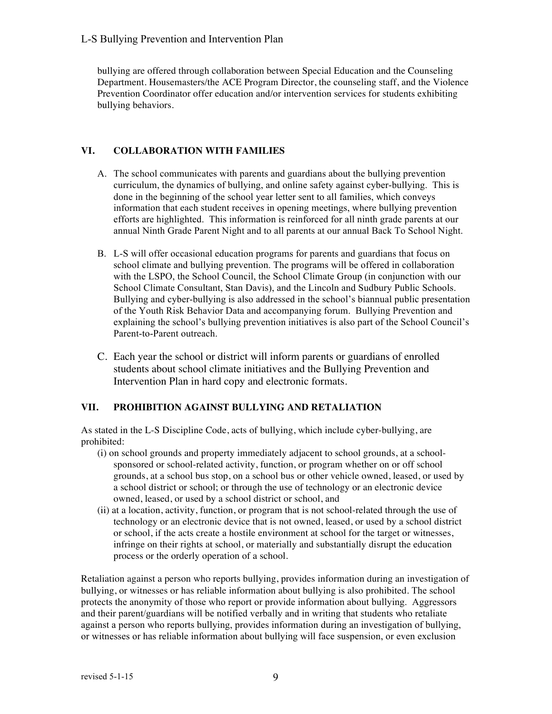bullying are offered through collaboration between Special Education and the Counseling Department. Housemasters/the ACE Program Director, the counseling staff, and the Violence Prevention Coordinator offer education and/or intervention services for students exhibiting bullying behaviors.

# **VI. COLLABORATION WITH FAMILIES**

- A. The school communicates with parents and guardians about the bullying prevention curriculum, the dynamics of bullying, and online safety against cyber-bullying. This is done in the beginning of the school year letter sent to all families, which conveys information that each student receives in opening meetings, where bullying prevention efforts are highlighted. This information is reinforced for all ninth grade parents at our annual Ninth Grade Parent Night and to all parents at our annual Back To School Night.
- B. L-S will offer occasional education programs for parents and guardians that focus on school climate and bullying prevention. The programs will be offered in collaboration with the LSPO, the School Council, the School Climate Group (in conjunction with our School Climate Consultant, Stan Davis), and the Lincoln and Sudbury Public Schools. Bullying and cyber-bullying is also addressed in the school's biannual public presentation of the Youth Risk Behavior Data and accompanying forum. Bullying Prevention and explaining the school's bullying prevention initiatives is also part of the School Council's Parent-to-Parent outreach.
- C. Each year the school or district will inform parents or guardians of enrolled students about school climate initiatives and the Bullying Prevention and Intervention Plan in hard copy and electronic formats.

## **VII. PROHIBITION AGAINST BULLYING AND RETALIATION**

As stated in the L-S Discipline Code, acts of bullying, which include cyber-bullying, are prohibited:

- (i) on school grounds and property immediately adjacent to school grounds, at a schoolsponsored or school-related activity, function, or program whether on or off school grounds, at a school bus stop, on a school bus or other vehicle owned, leased, or used by a school district or school; or through the use of technology or an electronic device owned, leased, or used by a school district or school, and
- (ii) at a location, activity, function, or program that is not school-related through the use of technology or an electronic device that is not owned, leased, or used by a school district or school, if the acts create a hostile environment at school for the target or witnesses, infringe on their rights at school, or materially and substantially disrupt the education process or the orderly operation of a school.

Retaliation against a person who reports bullying, provides information during an investigation of bullying, or witnesses or has reliable information about bullying is also prohibited. The school protects the anonymity of those who report or provide information about bullying. Aggressors and their parent/guardians will be notified verbally and in writing that students who retaliate against a person who reports bullying, provides information during an investigation of bullying, or witnesses or has reliable information about bullying will face suspension, or even exclusion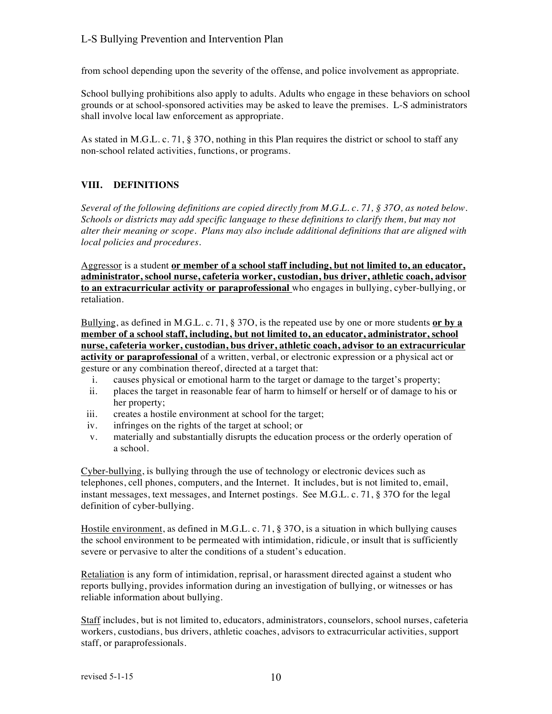from school depending upon the severity of the offense, and police involvement as appropriate.

School bullying prohibitions also apply to adults. Adults who engage in these behaviors on school grounds or at school-sponsored activities may be asked to leave the premises. L-S administrators shall involve local law enforcement as appropriate.

As stated in M.G.L. c. 71, § 37O, nothing in this Plan requires the district or school to staff any non-school related activities, functions, or programs.

### **VIII. DEFINITIONS**

*Several of the following definitions are copied directly from M.G.L. c. 71, § 37O, as noted below. Schools or districts may add specific language to these definitions to clarify them, but may not alter their meaning or scope. Plans may also include additional definitions that are aligned with local policies and procedures.*

Aggressor is a student **or member of a school staff including, but not limited to, an educator, administrator, school nurse, cafeteria worker, custodian, bus driver, athletic coach, advisor to an extracurricular activity or paraprofessional** who engages in bullying, cyber-bullying, or retaliation.

Bullying, as defined in M.G.L. c. 71, § 37O, is the repeated use by one or more students **or by a member of a school staff, including, but not limited to, an educator, administrator, school nurse, cafeteria worker, custodian, bus driver, athletic coach, advisor to an extracurricular activity or paraprofessional** of a written, verbal, or electronic expression or a physical act or gesture or any combination thereof, directed at a target that:

- i. causes physical or emotional harm to the target or damage to the target's property;
- ii. places the target in reasonable fear of harm to himself or herself or of damage to his or her property;
- iii. creates a hostile environment at school for the target;
- iv. infringes on the rights of the target at school; or
- v. materially and substantially disrupts the education process or the orderly operation of a school.

Cyber-bullying, is bullying through the use of technology or electronic devices such as telephones, cell phones, computers, and the Internet. It includes, but is not limited to, email, instant messages, text messages, and Internet postings. See M.G.L. c. 71, § 37O for the legal definition of cyber-bullying.

Hostile environment, as defined in M.G.L. c. 71, § 37O, is a situation in which bullying causes the school environment to be permeated with intimidation, ridicule, or insult that is sufficiently severe or pervasive to alter the conditions of a student's education.

Retaliation is any form of intimidation, reprisal, or harassment directed against a student who reports bullying, provides information during an investigation of bullying, or witnesses or has reliable information about bullying.

Staff includes, but is not limited to, educators, administrators, counselors, school nurses, cafeteria workers, custodians, bus drivers, athletic coaches, advisors to extracurricular activities, support staff, or paraprofessionals.